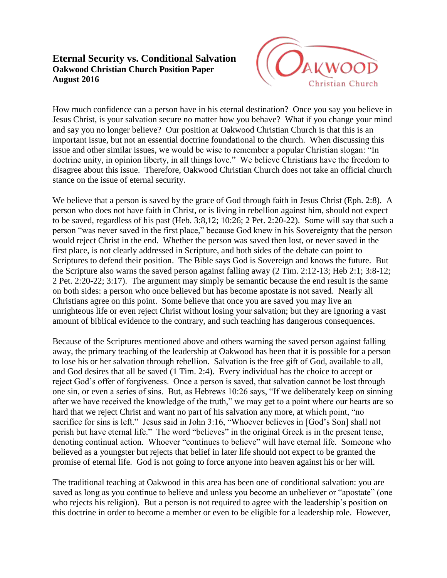## **Eternal Security vs. Conditional Salvation Oakwood Christian Church Position Paper August 2016**



How much confidence can a person have in his eternal destination? Once you say you believe in Jesus Christ, is your salvation secure no matter how you behave? What if you change your mind and say you no longer believe? Our position at Oakwood Christian Church is that this is an important issue, but not an essential doctrine foundational to the church. When discussing this issue and other similar issues, we would be wise to remember a popular Christian slogan: "In doctrine unity, in opinion liberty, in all things love." We believe Christians have the freedom to disagree about this issue. Therefore, Oakwood Christian Church does not take an official church stance on the issue of eternal security.

We believe that a person is saved by the grace of God through faith in Jesus Christ (Eph. 2:8). A person who does not have faith in Christ, or is living in rebellion against him, should not expect to be saved, regardless of his past (Heb. 3:8,12; 10:26; 2 Pet. 2:20-22). Some will say that such a person "was never saved in the first place," because God knew in his Sovereignty that the person would reject Christ in the end. Whether the person was saved then lost, or never saved in the first place, is not clearly addressed in Scripture, and both sides of the debate can point to Scriptures to defend their position. The Bible says God is Sovereign and knows the future. But the Scripture also warns the saved person against falling away (2 Tim. 2:12-13; Heb 2:1; 3:8-12; 2 Pet. 2:20-22; 3:17). The argument may simply be semantic because the end result is the same on both sides: a person who once believed but has become apostate is not saved. Nearly all Christians agree on this point. Some believe that once you are saved you may live an unrighteous life or even reject Christ without losing your salvation; but they are ignoring a vast amount of biblical evidence to the contrary, and such teaching has dangerous consequences.

Because of the Scriptures mentioned above and others warning the saved person against falling away, the primary teaching of the leadership at Oakwood has been that it is possible for a person to lose his or her salvation through rebellion. Salvation is the free gift of God, available to all, and God desires that all be saved (1 Tim. 2:4). Every individual has the choice to accept or reject God's offer of forgiveness. Once a person is saved, that salvation cannot be lost through one sin, or even a series of sins. But, as Hebrews 10:26 says, "If we deliberately keep on sinning after we have received the knowledge of the truth," we may get to a point where our hearts are so hard that we reject Christ and want no part of his salvation any more, at which point, "no sacrifice for sins is left." Jesus said in John 3:16, "Whoever believes in [God's Son] shall not perish but have eternal life." The word "believes" in the original Greek is in the present tense, denoting continual action. Whoever "continues to believe" will have eternal life. Someone who believed as a youngster but rejects that belief in later life should not expect to be granted the promise of eternal life. God is not going to force anyone into heaven against his or her will.

The traditional teaching at Oakwood in this area has been one of conditional salvation: you are saved as long as you continue to believe and unless you become an unbeliever or "apostate" (one who rejects his religion). But a person is not required to agree with the leadership's position on this doctrine in order to become a member or even to be eligible for a leadership role. However,